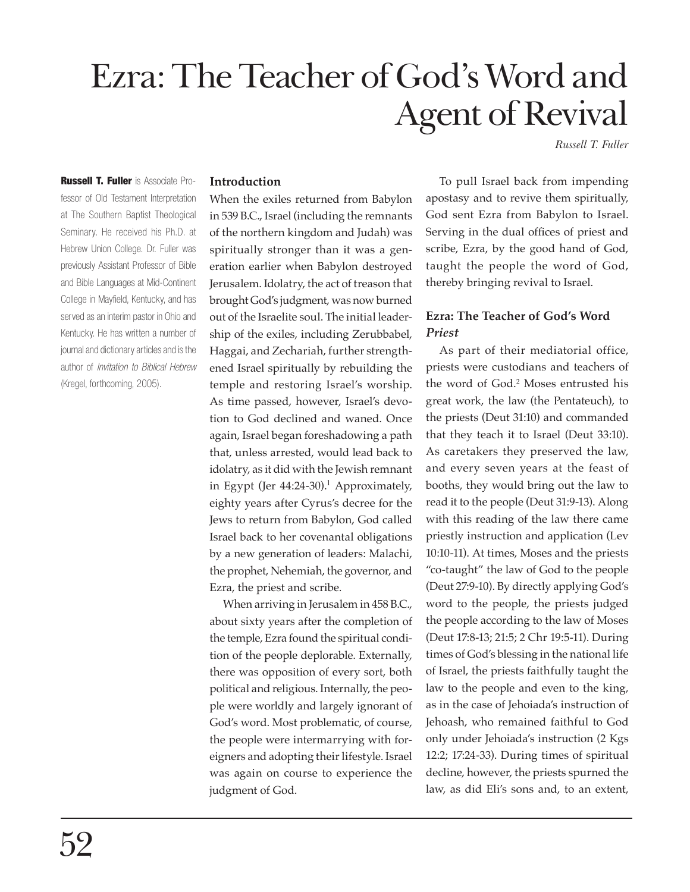# Ezra: The Teacher of God's Word and Agent of Revival

*Russell T. Fuller*

**Russell T. Fuller** is Associate Professor of Old Testament Interpretation at The Southern Baptist Theological Seminary. He received his Ph.D. at Hebrew Union College. Dr. Fuller was previously Assistant Professor of Bible and Bible Languages at Mid-Continent College in Mayfield, Kentucky, and has served as an interim pastor in Ohio and Kentucky. He has written a number of journal and dictionary articles and is the author of Invitation to Biblical Hebrew (Kregel, forthcoming, 2005).

## **Introduction**

When the exiles returned from Babylon in 539 B.C., Israel (including the remnants of the northern kingdom and Judah) was spiritually stronger than it was a generation earlier when Babylon destroyed Jerusalem. Idolatry, the act of treason that brought God's judgment, was now burned out of the Israelite soul. The initial leadership of the exiles, including Zerubbabel, Haggai, and Zechariah, further strengthened Israel spiritually by rebuilding the temple and restoring Israel's worship. As time passed, however, Israel's devotion to God declined and waned. Once again, Israel began foreshadowing a path that, unless arrested, would lead back to idolatry, as it did with the Jewish remnant in Egypt (Jer 44:24-30).<sup>1</sup> Approximately, eighty years after Cyrus's decree for the Jews to return from Babylon, God called Israel back to her covenantal obligations by a new generation of leaders: Malachi, the prophet, Nehemiah, the governor, and Ezra, the priest and scribe.

When arriving in Jerusalem in 458 B.C., about sixty years after the completion of the temple, Ezra found the spiritual condition of the people deplorable. Externally, there was opposition of every sort, both political and religious. Internally, the people were worldly and largely ignorant of God's word. Most problematic, of course, the people were intermarrying with foreigners and adopting their lifestyle. Israel was again on course to experience the judgment of God.

To pull Israel back from impending apostasy and to revive them spiritually, God sent Ezra from Babylon to Israel. Serving in the dual offices of priest and scribe, Ezra, by the good hand of God, taught the people the word of God, thereby bringing revival to Israel.

# **Ezra: The Teacher of God's Word** *Priest*

As part of their mediatorial office, priests were custodians and teachers of the word of God.2 Moses entrusted his great work, the law (the Pentateuch), to the priests (Deut 31:10) and commanded that they teach it to Israel (Deut 33:10). As caretakers they preserved the law, and every seven years at the feast of booths, they would bring out the law to read it to the people (Deut 31:9-13). Along with this reading of the law there came priestly instruction and application (Lev 10:10-11). At times, Moses and the priests "co-taught" the law of God to the people (Deut 27:9-10). By directly applying God's word to the people, the priests judged the people according to the law of Moses (Deut 17:8-13; 21:5; 2 Chr 19:5-11). During times of God's blessing in the national life of Israel, the priests faithfully taught the law to the people and even to the king, as in the case of Jehoiada's instruction of Jehoash, who remained faithful to God only under Jehoiada's instruction (2 Kgs 12:2; 17:24-33). During times of spiritual decline, however, the priests spurned the law, as did Eli's sons and, to an extent,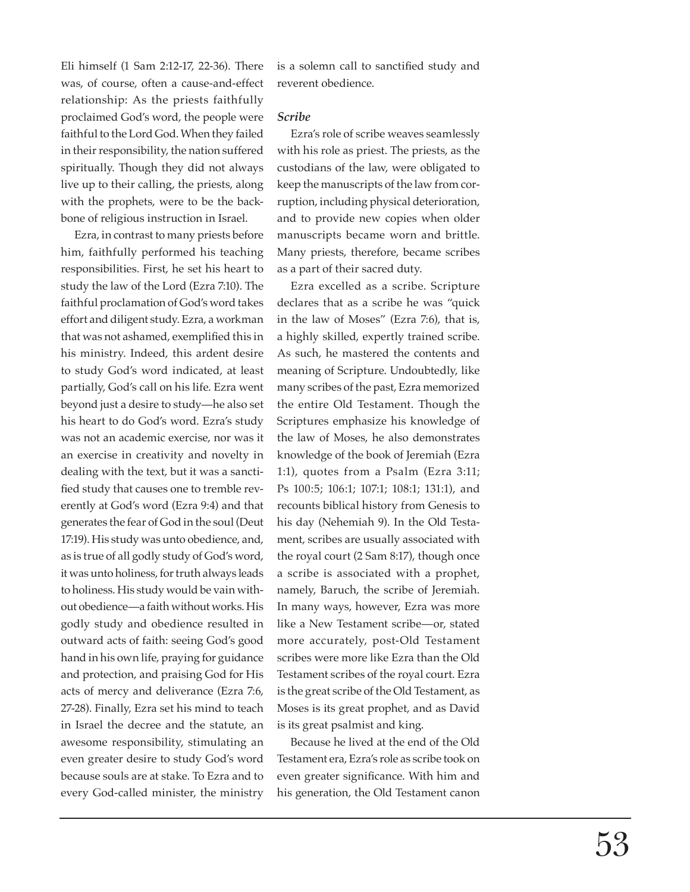Eli himself (1 Sam 2:12-17, 22-36). There was, of course, often a cause-and-effect relationship: As the priests faithfully proclaimed God's word, the people were faithful to the Lord God. When they failed in their responsibility, the nation suffered spiritually. Though they did not always live up to their calling, the priests, along with the prophets, were to be the backbone of religious instruction in Israel.

Ezra, in contrast to many priests before him, faithfully performed his teaching responsibilities. First, he set his heart to study the law of the Lord (Ezra 7:10). The faithful proclamation of God's word takes effort and diligent study. Ezra, a workman that was not ashamed, exemplified this in his ministry. Indeed, this ardent desire to study God's word indicated, at least partially, God's call on his life. Ezra went beyond just a desire to study—he also set his heart to do God's word. Ezra's study was not an academic exercise, nor was it an exercise in creativity and novelty in dealing with the text, but it was a sanctified study that causes one to tremble reverently at God's word (Ezra 9:4) and that generates the fear of God in the soul (Deut 17:19). His study was unto obedience, and, as is true of all godly study of God's word, it was unto holiness, for truth always leads to holiness. His study would be vain without obedience—a faith without works. His godly study and obedience resulted in outward acts of faith: seeing God's good hand in his own life, praying for guidance and protection, and praising God for His acts of mercy and deliverance (Ezra 7:6, 27-28). Finally, Ezra set his mind to teach in Israel the decree and the statute, an awesome responsibility, stimulating an even greater desire to study God's word because souls are at stake. To Ezra and to every God-called minister, the ministry

is a solemn call to sanctified study and reverent obedience.

#### *Scribe*

Ezra's role of scribe weaves seamlessly with his role as priest. The priests, as the custodians of the law, were obligated to keep the manuscripts of the law from corruption, including physical deterioration, and to provide new copies when older manuscripts became worn and brittle. Many priests, therefore, became scribes as a part of their sacred duty.

Ezra excelled as a scribe. Scripture declares that as a scribe he was "quick in the law of Moses" (Ezra 7:6), that is, a highly skilled, expertly trained scribe. As such, he mastered the contents and meaning of Scripture. Undoubtedly, like many scribes of the past, Ezra memorized the entire Old Testament. Though the Scriptures emphasize his knowledge of the law of Moses, he also demonstrates knowledge of the book of Jeremiah (Ezra 1:1), quotes from a Psalm (Ezra 3:11; Ps 100:5; 106:1; 107:1; 108:1; 131:1), and recounts biblical history from Genesis to his day (Nehemiah 9). In the Old Testament, scribes are usually associated with the royal court (2 Sam 8:17), though once a scribe is associated with a prophet, namely, Baruch, the scribe of Jeremiah. In many ways, however, Ezra was more like a New Testament scribe—or, stated more accurately, post-Old Testament scribes were more like Ezra than the Old Testament scribes of the royal court. Ezra is the great scribe of the Old Testament, as Moses is its great prophet, and as David is its great psalmist and king.

Because he lived at the end of the Old Testament era, Ezra's role as scribe took on even greater significance. With him and his generation, the Old Testament canon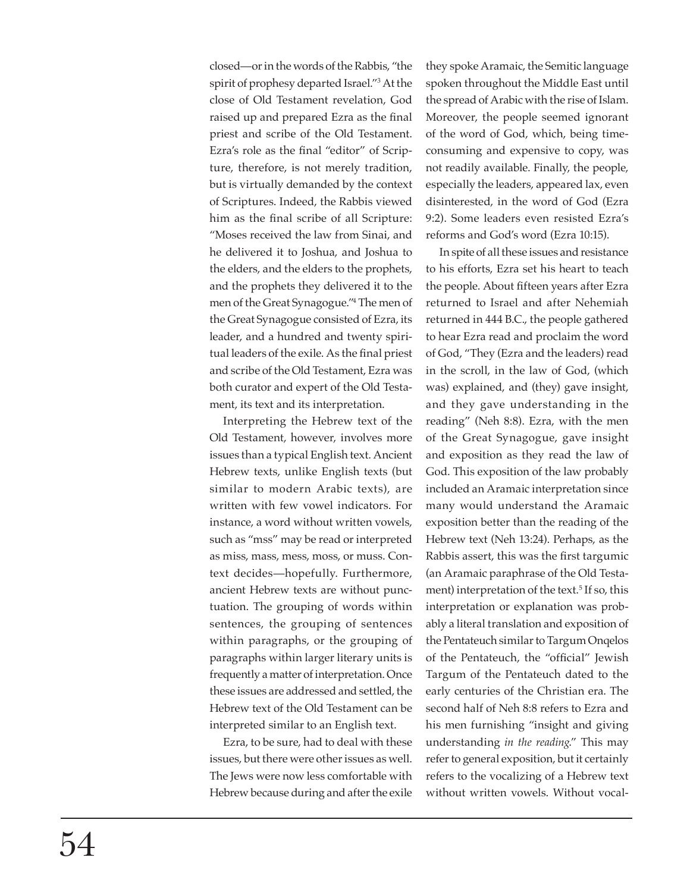closed—or in the words of the Rabbis, "the spirit of prophesy departed Israel."3 At the close of Old Testament revelation, God raised up and prepared Ezra as the final priest and scribe of the Old Testament. Ezra's role as the final "editor" of Scripture, therefore, is not merely tradition, but is virtually demanded by the context of Scriptures. Indeed, the Rabbis viewed him as the final scribe of all Scripture: "Moses received the law from Sinai, and he delivered it to Joshua, and Joshua to the elders, and the elders to the prophets, and the prophets they delivered it to the men of the Great Synagogue."4 The men of the Great Synagogue consisted of Ezra, its leader, and a hundred and twenty spiritual leaders of the exile. As the final priest and scribe of the Old Testament, Ezra was both curator and expert of the Old Testament, its text and its interpretation.

Interpreting the Hebrew text of the Old Testament, however, involves more issues than a typical English text. Ancient Hebrew texts, unlike English texts (but similar to modern Arabic texts), are written with few vowel indicators. For instance, a word without written vowels, such as "mss" may be read or interpreted as miss, mass, mess, moss, or muss. Context decides—hopefully. Furthermore, ancient Hebrew texts are without punctuation. The grouping of words within sentences, the grouping of sentences within paragraphs, or the grouping of paragraphs within larger literary units is frequently a matter of interpretation. Once these issues are addressed and settled, the Hebrew text of the Old Testament can be interpreted similar to an English text.

Ezra, to be sure, had to deal with these issues, but there were other issues as well. The Jews were now less comfortable with Hebrew because during and after the exile

they spoke Aramaic, the Semitic language spoken throughout the Middle East until the spread of Arabic with the rise of Islam. Moreover, the people seemed ignorant of the word of God, which, being timeconsuming and expensive to copy, was not readily available. Finally, the people, especially the leaders, appeared lax, even disinterested, in the word of God (Ezra 9:2). Some leaders even resisted Ezra's reforms and God's word (Ezra 10:15).

In spite of all these issues and resistance to his efforts, Ezra set his heart to teach the people. About fifteen years after Ezra returned to Israel and after Nehemiah returned in 444 B.C., the people gathered to hear Ezra read and proclaim the word of God, "They (Ezra and the leaders) read in the scroll, in the law of God, (which was) explained, and (they) gave insight, and they gave understanding in the reading" (Neh 8:8). Ezra, with the men of the Great Synagogue, gave insight and exposition as they read the law of God. This exposition of the law probably included an Aramaic interpretation since many would understand the Aramaic exposition better than the reading of the Hebrew text (Neh 13:24). Perhaps, as the Rabbis assert, this was the first targumic (an Aramaic paraphrase of the Old Testament) interpretation of the text.<sup>5</sup> If so, this interpretation or explanation was probably a literal translation and exposition of the Pentateuch similar to Targum Onqelos of the Pentateuch, the "official" Jewish Targum of the Pentateuch dated to the early centuries of the Christian era. The second half of Neh 8:8 refers to Ezra and his men furnishing "insight and giving understanding *in the reading*." This may refer to general exposition, but it certainly refers to the vocalizing of a Hebrew text without written vowels. Without vocal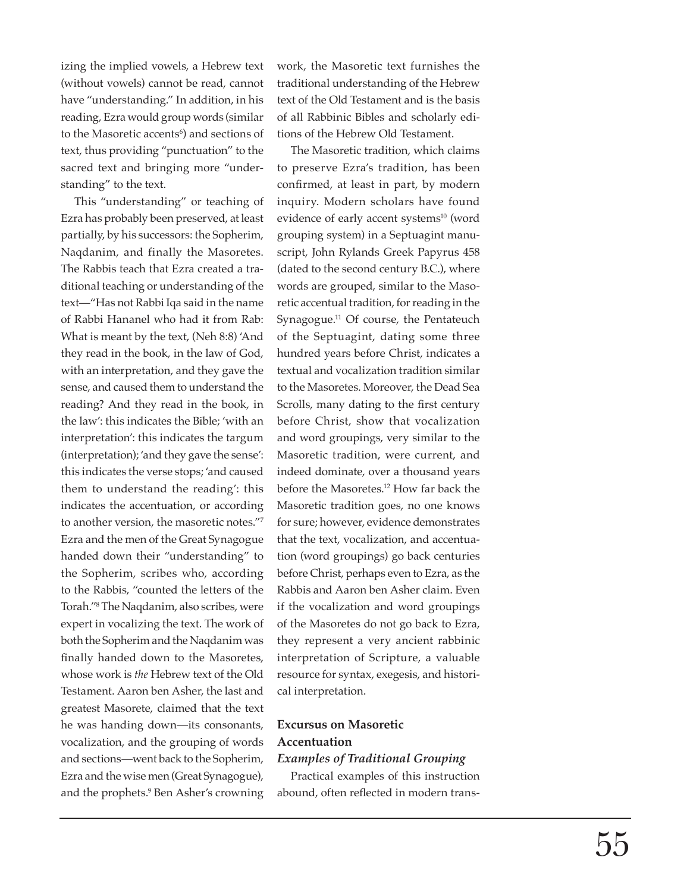izing the implied vowels, a Hebrew text (without vowels) cannot be read, cannot have "understanding." In addition, in his reading, Ezra would group words (similar to the Masoretic accents<sup>6</sup>) and sections of text, thus providing "punctuation" to the sacred text and bringing more "understanding" to the text.

This "understanding" or teaching of Ezra has probably been preserved, at least partially, by his successors: the Sopherim, Naqdanim, and finally the Masoretes. The Rabbis teach that Ezra created a traditional teaching or understanding of the text—"Has not Rabbi Iqa said in the name of Rabbi Hananel who had it from Rab: What is meant by the text, (Neh 8:8) 'And they read in the book, in the law of God, with an interpretation, and they gave the sense, and caused them to understand the reading? And they read in the book, in the law': this indicates the Bible; 'with an interpretation': this indicates the targum (interpretation); 'and they gave the sense': this indicates the verse stops; 'and caused them to understand the reading': this indicates the accentuation, or according to another version, the masoretic notes."7 Ezra and the men of the Great Synagogue handed down their "understanding" to the Sopherim, scribes who, according to the Rabbis, "counted the letters of the Torah."8 The Naqdanim, also scribes, were expert in vocalizing the text. The work of both the Sopherim and the Naqdanim was finally handed down to the Masoretes, whose work is *the* Hebrew text of the Old Testament. Aaron ben Asher, the last and greatest Masorete, claimed that the text he was handing down—its consonants, vocalization, and the grouping of words and sections—went back to the Sopherim, Ezra and the wise men (Great Synagogue), and the prophets.9 Ben Asher's crowning work, the Masoretic text furnishes the traditional understanding of the Hebrew text of the Old Testament and is the basis of all Rabbinic Bibles and scholarly editions of the Hebrew Old Testament.

The Masoretic tradition, which claims to preserve Ezra's tradition, has been confirmed, at least in part, by modern inquiry. Modern scholars have found evidence of early accent systems<sup>10</sup> (word grouping system) in a Septuagint manuscript, John Rylands Greek Papyrus 458 (dated to the second century B.C.), where words are grouped, similar to the Masoretic accentual tradition, for reading in the Synagogue.11 Of course, the Pentateuch of the Septuagint, dating some three hundred years before Christ, indicates a textual and vocalization tradition similar to the Masoretes. Moreover, the Dead Sea Scrolls, many dating to the first century before Christ, show that vocalization and word groupings, very similar to the Masoretic tradition, were current, and indeed dominate, over a thousand years before the Masoretes.12 How far back the Masoretic tradition goes, no one knows for sure; however, evidence demonstrates that the text, vocalization, and accentuation (word groupings) go back centuries before Christ, perhaps even to Ezra, as the Rabbis and Aaron ben Asher claim. Even if the vocalization and word groupings of the Masoretes do not go back to Ezra, they represent a very ancient rabbinic interpretation of Scripture, a valuable resource for syntax, exegesis, and historical interpretation.

# **Excursus on Masoretic Accentuation** *Examples of Traditional Grouping*

Practical examples of this instruction abound, often reflected in modern trans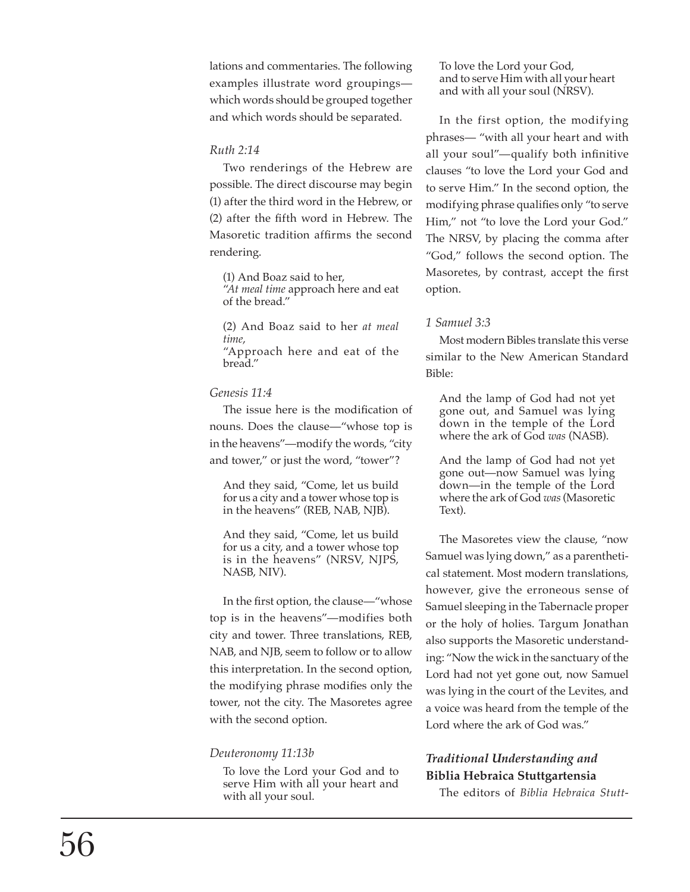lations and commentaries. The following examples illustrate word groupings which words should be grouped together and which words should be separated.

## *Ruth 2:14*

Two renderings of the Hebrew are possible. The direct discourse may begin (1) after the third word in the Hebrew, or (2) after the fifth word in Hebrew. The Masoretic tradition affirms the second rendering.

(1) And Boaz said to her, "*At meal time* approach here and eat of the bread."

(2) And Boaz said to her *at meal time*, "Approach here and eat of the bread."

## *Genesis 11:4*

The issue here is the modification of nouns. Does the clause—"whose top is in the heavens"—modify the words, "city and tower," or just the word, "tower"?

And they said, "Come, let us build for us a city and a tower whose top is in the heavens" (REB, NAB, NJB).

And they said, "Come, let us build for us a city, and a tower whose top is in the heavens" (NRSV, NJPS, NASB, NIV).

In the first option, the clause—"whose top is in the heavens"—modifies both city and tower. Three translations, REB, NAB, and NJB, seem to follow or to allow this interpretation. In the second option, the modifying phrase modifies only the tower, not the city. The Masoretes agree with the second option.

# *Deuteronomy 11:13b*

To love the Lord your God and to serve Him with all your heart and with all your soul.

To love the Lord your God, and to serve Him with all your heart and with all your soul (NRSV).

In the first option, the modifying phrases— "with all your heart and with all your soul"—qualify both infinitive clauses "to love the Lord your God and to serve Him." In the second option, the modifying phrase qualifies only "to serve Him," not "to love the Lord your God." The NRSV, by placing the comma after "God," follows the second option. The Masoretes, by contrast, accept the first option.

## *1 Samuel 3:3*

Most modern Bibles translate this verse similar to the New American Standard Bible:

And the lamp of God had not yet gone out, and Samuel was lying down in the temple of the Lord where the ark of God *was* (NASB).

And the lamp of God had not yet gone out—now Samuel was lying down—in the temple of the Lord where the ark of God *was* (Masoretic Text).

The Masoretes view the clause, "now Samuel was lying down," as a parentheti cal statement. Most modern translations, however, give the erroneous sense of Samuel sleeping in the Tabernacle proper or the holy of holies. Targum Jonathan also supports the Masoretic understand ing: "Now the wick in the sanctuary of the Lord had not yet gone out, now Samuel was lying in the court of the Levites, and a voice was heard from the temple of the Lord where the ark of God was."

# *Traditional Understanding and*  **Biblia Hebraica Stuttgartensia**

The editors of *Biblia Hebraica Stutt -*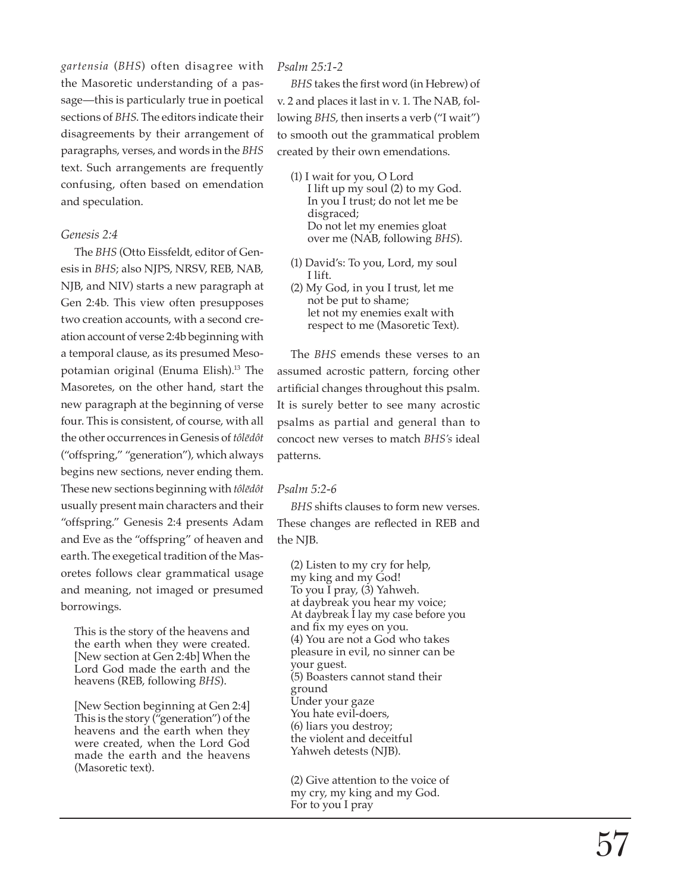*gartensia* (*BHS*) often disagree with the Masoretic understanding of a pas sage—this is particularly true in poetical sections of *BHS*. The editors indicate their disagreements by their arrangement of paragraphs, verses, and words in the *BHS* text. Such arrangements are frequently confusing, often based on emendation and speculation.

## *Genesis 2:4*

The *BHS* (Otto Eissfeldt, editor of Gen esis in *BHS*; also NJPS, NRSV, REB, NAB, NJB, and NIV) starts a new paragraph at Gen 2:4b. This view often presupposes two creation accounts, with a second cre ation account of verse 2:4b beginning with a temporal clause, as its presumed Meso potamian original (Enuma Elish).<sup>13</sup> The Masoretes, on the other hand, start the new paragraph at the beginning of verse four. This is consistent, of course, with all the other occurrences in Genesis of *tôlēdôt*  ("offspring," "generation"), which always begins new sections, never ending them. These new sections beginning with *tôlēdôt* usually present main characters and their "offspring." Genesis 2:4 presents Adam and Eve as the "offspring" of heaven and earth. The exegetical tradition of the Mas oretes follows clear grammatical usage and meaning, not imaged or presumed borrowings.

This is the story of the heavens and the earth when they were created. [New section at Gen 2:4b] When the Lord God made the earth and the heavens (REB, following *BHS*).

[New Section beginning at Gen 2:4] This is the story ("generation") of the heavens and the earth when they were created, when the Lord God made the earth and the heavens (Masoretic text).

## *Psalm 25:1-2*

*BHS* takes the first word (in Hebrew) of v. 2 and places it last in v. 1. The NAB, fol lowing *BHS*, then inserts a verb ("I wait") to smooth out the grammatical problem created by their own emendations.

- (1) I wait for you, O Lord I lift up my soul (2) to my God. In you I trust; do not let me be disgraced; Do not let my enemies gloat over me (NAB, following *BHS*).
- (1) David's: To you, Lord, my soul I lift.
- (2) My God, in you I trust, let me not be put to shame; let not my enemies exalt with respect to me (Masoretic Text).

The *BHS* emends these verses to an assumed acrostic pattern, forcing other artificial changes throughout this psalm. It is surely better to see many acrostic psalms as partial and general than to concoct new verses to match *BHS's* ideal patterns.

## *Psalm 5:2-6*

*BHS* shifts clauses to form new verses. These changes are reflected in REB and the NJB .

(2) Listen to my cry for help, my king and my God! To you I pray, (3) Yahweh. at daybreak you hear my voice; At daybreak I lay my case before you and fix my eyes on you. (4) You are not a God who takes pleasure in evil, no sinner can be your guest. (5) Boasters cannot stand their ground Under your gaze You hate evil-doers, (6) liars you destroy; the violent and deceitful Yahweh detests (NJB).

(2) Give attention to the voice of my cry, my king and my God. For to you I pray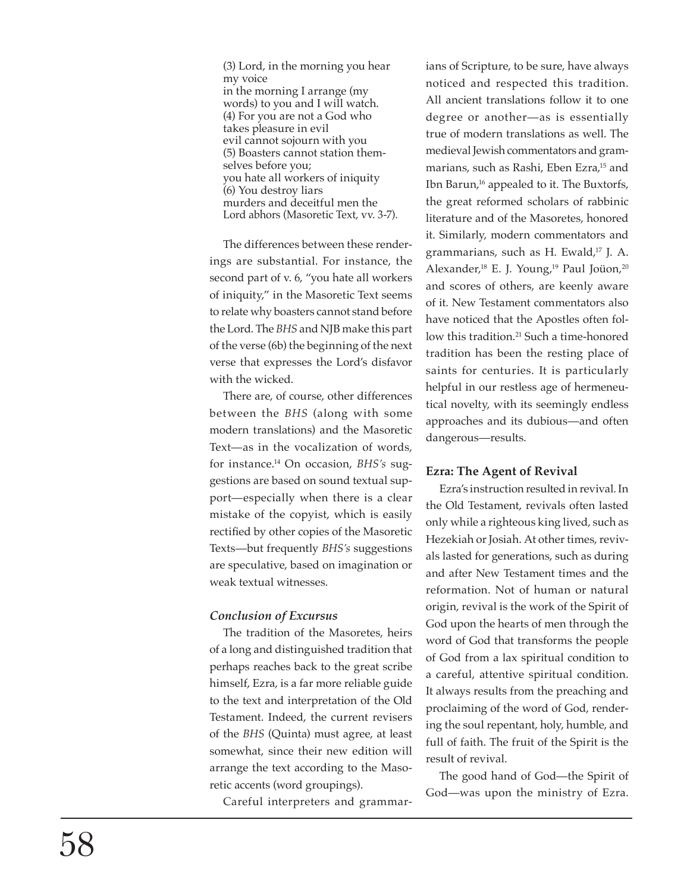(3) Lord, in the morning you hear my voice in the morning I arrange (my words) to you and I will watch. (4) For you are not a God who takes pleasure in evil evil cannot sojourn with you (5) Boasters cannot station them selves before you; you hate all workers of iniquity (6) You destroy liars murders and deceitful men the Lord abhors (Masoretic Text, vv. 3-7).

The differences between these render ings are substantial. For instance, the second part of v. 6, "you hate all workers of iniquity," in the Masoretic Text seems to relate why boasters cannot stand before the Lord. The *BHS* and NJB make this part of the verse (6b) the beginning of the next verse that expresses the Lord's disfavor with the wicked.

There are, of course, other differences between the *BHS* (along with some modern translations) and the Masoretic Text—as in the vocalization of words, for instance.14 On occasion, *BHS's* sug gestions are based on sound textual sup port—especially when there is a clear mistake of the copyist, which is easily rectified by other copies of the Masoretic Texts—but frequently *BHS's* suggestions are speculative, based on imagination or weak textual witnesses.

# *Conclusion of Excursus*

The tradition of the Masoretes, heirs of a long and distinguished tradition that perhaps reaches back to the great scribe himself, Ezra, is a far more reliable guide to the text and interpretation of the Old Testament. Indeed, the current revisers of the *BHS* (Quinta) must agree, at least somewhat, since their new edition will arrange the text according to the Maso retic accents (word groupings).

Careful interpreters and grammar -

ians of Scripture, to be sure, have always noticed and respected this tradition. All ancient translations follow it to one degree or another—as is essentially true of modern translations as well. The medieval Jewish commentators and gram marians, such as Rashi, Eben Ezra,<sup>15</sup> and Ibn Barun,<sup>16</sup> appealed to it. The Buxtorfs, the great reformed scholars of rabbinic literature and of the Masoretes, honored it. Similarly, modern commentators and grammarians, such as H. Ewald,<sup>17</sup> J. A. Alexander,<sup>18</sup> E. J. Young,<sup>19</sup> Paul Joüon,<sup>20</sup> and scores of others, are keenly aware of it. New Testament commentators also have noticed that the Apostles often fol low this tradition.<sup>21</sup> Such a time-honored tradition has been the resting place of saints for centuries. It is particularly helpful in our restless age of hermeneu tical novelty, with its seemingly endless approaches and its dubious—and often dangerous—results.

# **Ezra: The Agent of Revival**

Ezra's instruction resulted in revival. In the Old Testament, revivals often lasted only while a righteous king lived, such as Hezekiah or Josiah. At other times, reviv als lasted for generations, such as during and after New Testament times and the reformation. Not of human or natural origin, revival is the work of the Spirit of God upon the hearts of men through the word of God that transforms the people of God from a lax spiritual condition to a careful, attentive spiritual condition. It always results from the preaching and proclaiming of the word of God, render ing the soul repentant, holy, humble, and full of faith. The fruit of the Spirit is the result of revival.

The good hand of God—the Spirit of God—was upon the ministry of Ezra.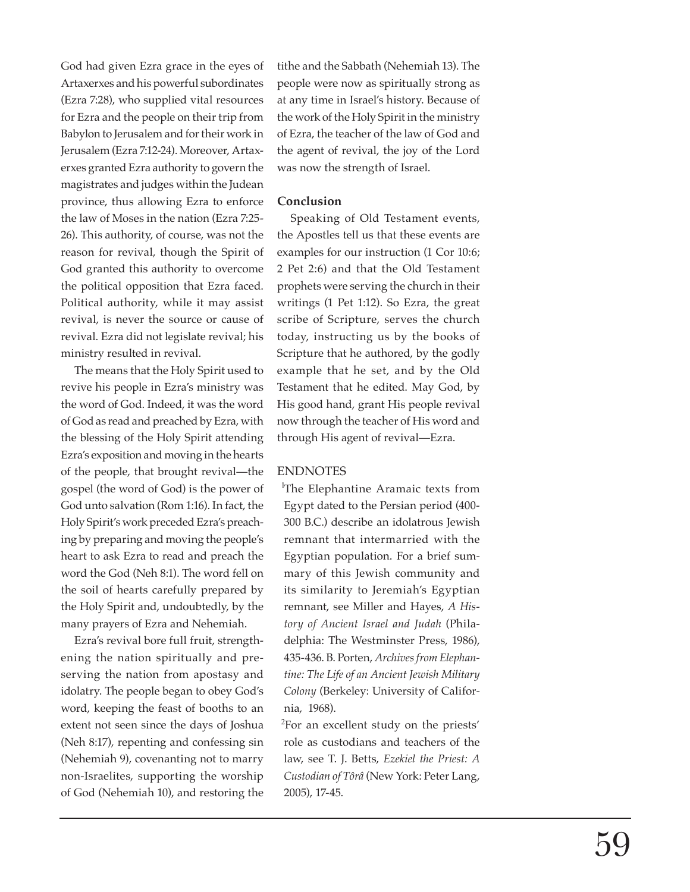God had given Ezra grace in the eyes of Artaxerxes and his powerful subordinates (Ezra 7:28), who supplied vital resources for Ezra and the people on their trip from Babylon to Jerusalem and for their work in Jerusalem (Ezra 7:12-24). Moreover, Artaxerxes granted Ezra authority to govern the magistrates and judges within the Judean province, thus allowing Ezra to enforce the law of Moses in the nation (Ezra 7:25- 26). This authority, of course, was not the reason for revival, though the Spirit of God granted this authority to overcome the political opposition that Ezra faced. Political authority, while it may assist revival, is never the source or cause of revival. Ezra did not legislate revival; his ministry resulted in revival.

The means that the Holy Spirit used to revive his people in Ezra's ministry was the word of God. Indeed, it was the word of God as read and preached by Ezra, with the blessing of the Holy Spirit attending Ezra's exposition and moving in the hearts of the people, that brought revival—the gospel (the word of God) is the power of God unto salvation (Rom 1:16). In fact, the Holy Spirit's work preceded Ezra's preaching by preparing and moving the people's heart to ask Ezra to read and preach the word the God (Neh 8:1). The word fell on the soil of hearts carefully prepared by the Holy Spirit and, undoubtedly, by the many prayers of Ezra and Nehemiah.

Ezra's revival bore full fruit, strengthening the nation spiritually and preserving the nation from apostasy and idolatry. The people began to obey God's word, keeping the feast of booths to an extent not seen since the days of Joshua (Neh 8:17), repenting and confessing sin (Nehemiah 9), covenanting not to marry non-Israelites, supporting the worship of God (Nehemiah 10), and restoring the tithe and the Sabbath (Nehemiah 13). The people were now as spiritually strong as at any time in Israel's history. Because of the work of the Holy Spirit in the ministry of Ezra, the teacher of the law of God and the agent of revival, the joy of the Lord was now the strength of Israel.

## **Conclusion**

Speaking of Old Testament events, the Apostles tell us that these events are examples for our instruction (1 Cor 10:6; 2 Pet 2:6) and that the Old Testament prophets were serving the church in their writings (1 Pet 1:12). So Ezra, the great scribe of Scripture, serves the church today, instructing us by the books of Scripture that he authored, by the godly example that he set, and by the Old Testament that he edited. May God, by His good hand, grant His people revival now through the teacher of His word and through His agent of revival—Ezra.

## ENDNOTES

<sup>1</sup>The Elephantine Aramaic texts from Egypt dated to the Persian period (400- 300 B.C.) describe an idolatrous Jewish remnant that intermarried with the Egyptian population. For a brief summary of this Jewish community and its similarity to Jeremiah's Egyptian remnant, see Miller and Hayes, *A History of Ancient Israel and Judah* (Philadelphia: The Westminster Press, 1986), 435-436. B. Porten, *Archives from Elephantine: The Life of an Ancient Jewish Military Colony* (Berkeley: University of California, 1968).

<sup>2</sup>For an excellent study on the priests' role as custodians and teachers of the law, see T. J. Betts, *Ezekiel the Priest: A Custodian of Tôrâ* (New York: Peter Lang, 2005), 17-45.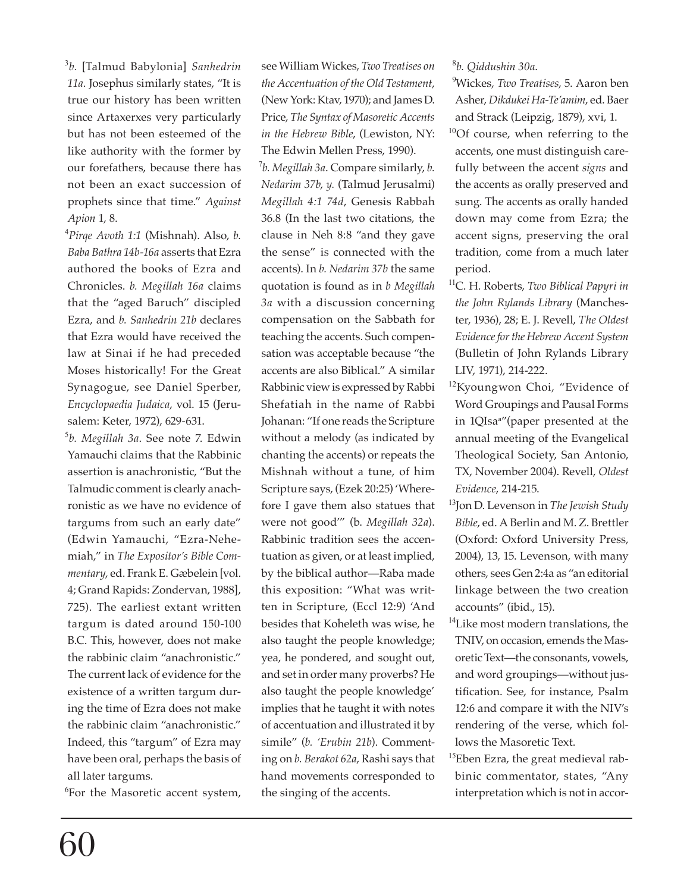<sup>3</sup>*b.* [Talmud Babylonia] *Sanhedrin 11a*. Josephus similarly states, "It is true our history has been written since Artaxerxes very particularly but has not been esteemed of the like authority with the former by our forefathers, because there has not been an exact succession of prophets since that time." *Against Apion* 1, 8.

<sup>4</sup>*Pirqe Avoth 1:1* (Mishnah). Also, *b. Baba Bathra 14b-16a* asserts that Ezra authored the books of Ezra and Chronicles. *b. Megillah 16a* claims that the "aged Baruch" discipled Ezra, and *b. Sanhedrin 21b* declares that Ezra would have received the law at Sinai if he had preceded Moses historically! For the Great Synagogue, see Daniel Sperber, *Encyclopaedia Judaica*, vol. 15 (Jerusalem: Keter, 1972), 629-631.

<sup>5</sup>*b. Megillah 3a*. See note 7. Edwin Yamauchi claims that the Rabbinic assertion is anachronistic, "But the Talmudic comment is clearly anachronistic as we have no evidence of targums from such an early date" (Edwin Yamauchi, "Ezra-Nehemiah," in *The Expositor's Bible Commentary*, ed. Frank E. Gæbelein [vol. 4; Grand Rapids: Zondervan, 1988], 725). The earliest extant written targum is dated around 150-100 B.C. This, however, does not make the rabbinic claim "anachronistic." The current lack of evidence for the existence of a written targum during the time of Ezra does not make the rabbinic claim "anachronistic." Indeed, this "targum" of Ezra may have been oral, perhaps the basis of all later targums.

<sup>6</sup>For the Masoretic accent system,

<sup>7</sup>*b. Megillah 3a*. Compare similarly, *b. Nedarim 37b*, *y.* (Talmud Jerusalmi) *Megillah 4:1 74d*, Genesis Rabbah 36.8 (In the last two citations, the clause in Neh 8:8 "and they gave the sense" is connected with the accents). In *b. Nedarim 37b* the same quotation is found as in *b Megillah 3a* with a discussion concerning compensation on the Sabbath for teaching the accents. Such compensation was acceptable because "the accents are also Biblical." A similar Rabbinic view is expressed by Rabbi Shefatiah in the name of Rabbi Johanan: "If one reads the Scripture without a melody (as indicated by chanting the accents) or repeats the Mishnah without a tune, of him Scripture says, (Ezek 20:25) 'Wherefore I gave them also statues that were not good'" (b. *Megillah 32a*). Rabbinic tradition sees the accentuation as given, or at least implied, by the biblical author—Raba made this exposition: "What was written in Scripture, (Eccl 12:9) 'And besides that Koheleth was wise, he also taught the people knowledge; yea, he pondered, and sought out, and set in order many proverbs? He also taught the people knowledge' implies that he taught it with notes of accentuation and illustrated it by simile" (*b. 'Erubin 21b*). Commenting on *b. Berakot 62a*, Rashi says that hand movements corresponded to the singing of the accents.

## <sup>8</sup>*b. Qiddushin 30a*.

- <sup>9</sup>Wickes, *Two Treatises*, 5. Aaron ben Asher, *Dikdukei Ha-Te'amim*, ed. Baer and Strack (Leipzig, 1879), xvi, 1.
- <sup>10</sup>Of course, when referring to the accents, one must distinguish carefully between the accent *signs* and the accents as orally preserved and sung. The accents as orally handed down may come from Ezra; the accent signs, preserving the oral tradition, come from a much later period.
- <sup>11</sup>C. H. Roberts, *Two Biblical Papyri in the John Rylands Library* (Manchester, 1936), 28; E. J. Revell, *The Oldest Evidence for the Hebrew Accent System*  (Bulletin of John Rylands Library LIV, 1971), 214-222.
- <sup>12</sup>Kyoungwon Choi, "Evidence of Word Groupings and Pausal Forms in 1QIsaa "(paper presented at the annual meeting of the Evangelical Theological Society, San Antonio, TX, November 2004). Revell, *Oldest Evidence*, 214-215.
- <sup>13</sup>Jon D. Levenson in *The Jewish Study Bible*, ed. A Berlin and M. Z. Brettler (Oxford: Oxford University Press, 2004), 13, 15. Levenson, with many others, sees Gen 2:4a as "an editorial linkage between the two creation accounts" (ibid., 15).
- <sup>14</sup>Like most modern translations, the TNIV, on occasion, emends the Masoretic Text—the consonants, vowels, and word groupings—without justification. See, for instance, Psalm 12:6 and compare it with the NIV's rendering of the verse, which follows the Masoretic Text.
- <sup>15</sup>Eben Ezra, the great medieval rabbinic commentator, states, "Any interpretation which is not in accor-